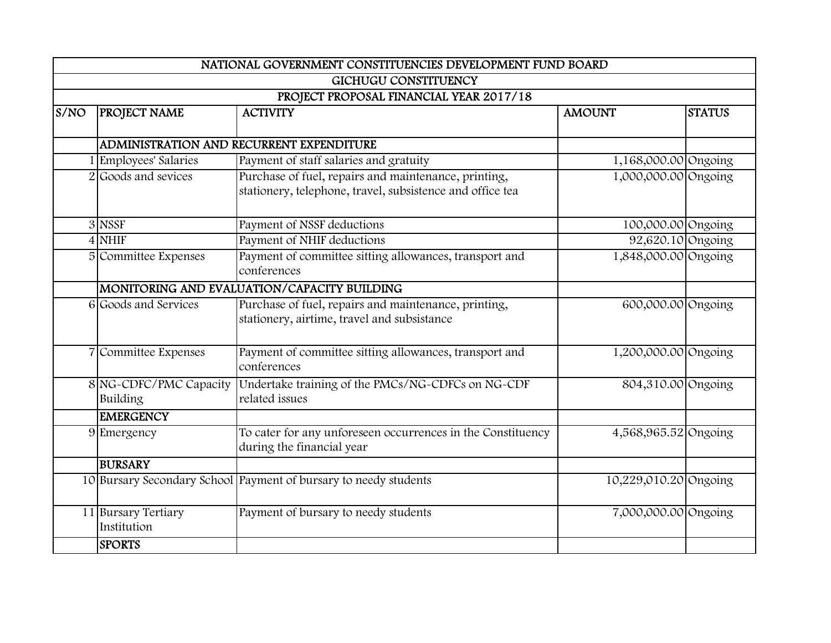|      | NATIONAL GOVERNMENT CONSTITUENCIES DEVELOPMENT FUND BOARD |                                                                  |                       |               |  |  |
|------|-----------------------------------------------------------|------------------------------------------------------------------|-----------------------|---------------|--|--|
|      | <b>GICHUGU CONSTITUENCY</b>                               |                                                                  |                       |               |  |  |
|      |                                                           | PROJECT PROPOSAL FINANCIAL YEAR 2017/18                          |                       |               |  |  |
| S/NO | <b>PROJECT NAME</b>                                       | <b>ACTIVITY</b>                                                  | <b>AMOUNT</b>         | <b>STATUS</b> |  |  |
|      |                                                           |                                                                  |                       |               |  |  |
|      |                                                           | ADMINISTRATION AND RECURRENT EXPENDITURE                         |                       |               |  |  |
|      | 1 Employees' Salaries                                     | Payment of staff salaries and gratuity                           | 1,168,000.00 Ongoing  |               |  |  |
|      | Goods and sevices                                         | Purchase of fuel, repairs and maintenance, printing,             | 1,000,000.00 Ongoing  |               |  |  |
|      |                                                           | stationery, telephone, travel, subsistence and office tea        |                       |               |  |  |
|      | 3 NSSF                                                    | Payment of NSSF deductions                                       | 100,000.00 Ongoing    |               |  |  |
|      | $4$ NHIF                                                  | Payment of NHIF deductions                                       | 92,620.10 Ongoing     |               |  |  |
|      | 5 Committee Expenses                                      | Payment of committee sitting allowances, transport and           | 1,848,000.00 Ongoing  |               |  |  |
|      |                                                           | conferences                                                      |                       |               |  |  |
|      |                                                           | MONITORING AND EVALUATION/CAPACITY BUILDING                      |                       |               |  |  |
|      | 6 Goods and Services                                      | Purchase of fuel, repairs and maintenance, printing,             | 600,000.00 Ongoing    |               |  |  |
|      |                                                           | stationery, airtime, travel and subsistance                      |                       |               |  |  |
|      |                                                           |                                                                  |                       |               |  |  |
|      | 7 Committee Expenses                                      | Payment of committee sitting allowances, transport and           | 1,200,000.00 Ongoing  |               |  |  |
|      |                                                           | conferences                                                      |                       |               |  |  |
|      | 8 NG-CDFC/PMC Capacity                                    | Undertake training of the PMCs/NG-CDFCs on NG-CDF                | 804,310.00 Ongoing    |               |  |  |
|      | Building                                                  | related issues                                                   |                       |               |  |  |
|      | <b>EMERGENCY</b>                                          |                                                                  |                       |               |  |  |
|      | 9 Emergency                                               | To cater for any unforeseen occurrences in the Constituency      | 4,568,965.52 Ongoing  |               |  |  |
|      |                                                           | during the financial year                                        |                       |               |  |  |
|      | <b>BURSARY</b>                                            |                                                                  |                       |               |  |  |
|      |                                                           | 10 Bursary Secondary School Payment of bursary to needy students | 10,229,010.20 Ongoing |               |  |  |
|      | 11 Bursary Tertiary                                       | Payment of bursary to needy students                             | 7,000,000.00 Ongoing  |               |  |  |
|      | Institution                                               |                                                                  |                       |               |  |  |
|      |                                                           |                                                                  |                       |               |  |  |
|      | <b>SPORTS</b>                                             |                                                                  |                       |               |  |  |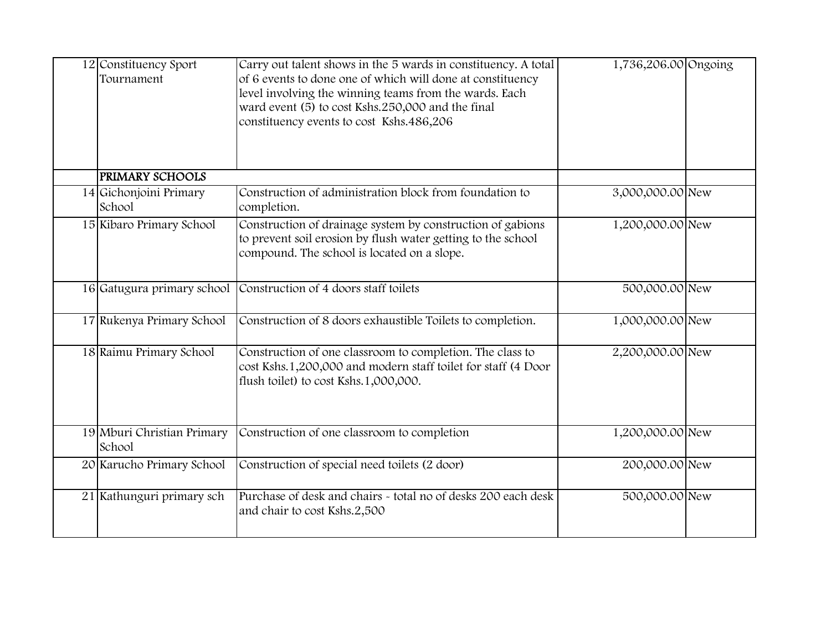| 12 Constituency Sport<br>Tournament  | Carry out talent shows in the 5 wards in constituency. A total<br>of 6 events to done one of which will done at constituency<br>level involving the winning teams from the wards. Each<br>ward event (5) to cost Kshs.250,000 and the final<br>constituency events to cost Kshs.486,206 | 1,736,206.00 Ongoing |  |
|--------------------------------------|-----------------------------------------------------------------------------------------------------------------------------------------------------------------------------------------------------------------------------------------------------------------------------------------|----------------------|--|
| <b>PRIMARY SCHOOLS</b>               |                                                                                                                                                                                                                                                                                         |                      |  |
| 14 Gichonjoini Primary<br>School     | Construction of administration block from foundation to<br>completion.                                                                                                                                                                                                                  | 3,000,000.00 New     |  |
| 15 Kibaro Primary School             | Construction of drainage system by construction of gabions<br>to prevent soil erosion by flush water getting to the school<br>compound. The school is located on a slope.                                                                                                               | 1,200,000.00 New     |  |
| 16 Gatugura primary school           | Construction of 4 doors staff toilets                                                                                                                                                                                                                                                   | 500,000.00 New       |  |
| 17 Rukenya Primary School            | Construction of 8 doors exhaustible Toilets to completion.                                                                                                                                                                                                                              | 1,000,000.00 New     |  |
| 18 Raimu Primary School              | Construction of one classroom to completion. The class to<br>cost Kshs.1,200,000 and modern staff toilet for staff (4 Door<br>flush toilet) to cost Kshs.1,000,000.                                                                                                                     | 2,200,000.00 New     |  |
| 19 Mburi Christian Primary<br>School | Construction of one classroom to completion                                                                                                                                                                                                                                             | 1,200,000.00 New     |  |
| 20 Karucho Primary School            | Construction of special need toilets (2 door)                                                                                                                                                                                                                                           | 200,000.00 New       |  |
| 21 Kathunguri primary sch            | Purchase of desk and chairs - total no of desks 200 each desk<br>and chair to cost Kshs.2,500                                                                                                                                                                                           | 500,000.00 New       |  |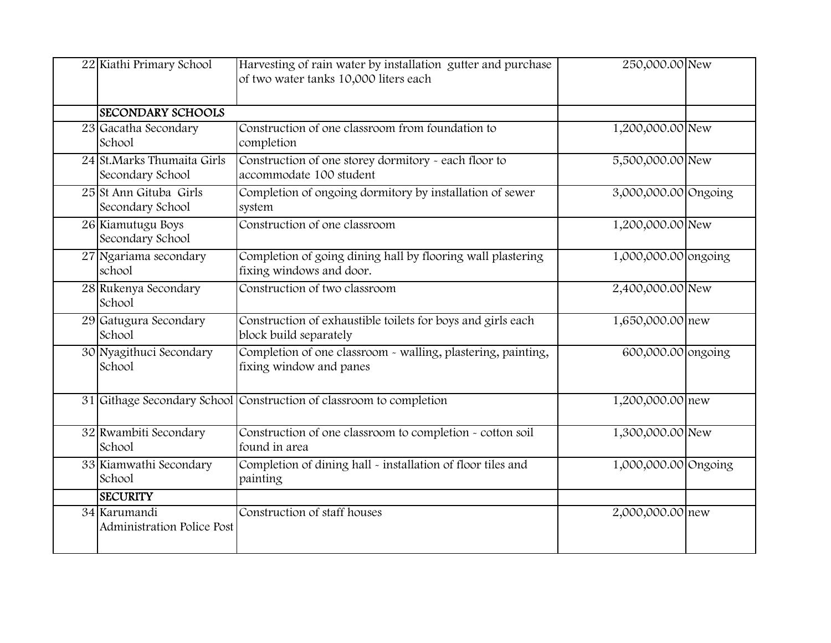| 22 Kiathi Primary School                       | Harvesting of rain water by installation gutter and purchase<br>of two water tanks 10,000 liters each | 250,000.00 New       |  |
|------------------------------------------------|-------------------------------------------------------------------------------------------------------|----------------------|--|
| <b>SECONDARY SCHOOLS</b>                       |                                                                                                       |                      |  |
| 23 Gacatha Secondary<br>School                 | Construction of one classroom from foundation to<br>completion                                        | 1,200,000.00 New     |  |
| 24 St.Marks Thumaita Girls<br>Secondary School | Construction of one storey dormitory - each floor to<br>accommodate 100 student                       | 5,500,000.00 New     |  |
| 25 St Ann Gituba Girls<br>Secondary School     | Completion of ongoing dormitory by installation of sewer<br>system                                    | 3,000,000.00 Ongoing |  |
| 26 Kiamutugu Boys<br>Secondary School          | Construction of one classroom                                                                         | 1,200,000.00 New     |  |
| 27 Ngariama secondary<br>school                | Completion of going dining hall by flooring wall plastering<br>fixing windows and door.               | 1,000,000.00 ongoing |  |
| 28 Rukenya Secondary<br>School                 | Construction of two classroom                                                                         | 2,400,000.00 New     |  |
| 29 Gatugura Secondary<br>School                | Construction of exhaustible toilets for boys and girls each<br>block build separately                 | 1,650,000.00 new     |  |
| 30 Nyagithuci Secondary<br>School              | Completion of one classroom - walling, plastering, painting,<br>fixing window and panes               | 600,000.00 ongoing   |  |
|                                                | 31 Githage Secondary School Construction of classroom to completion                                   | 1,200,000.00 new     |  |
| 32 Rwambiti Secondary<br>School                | Construction of one classroom to completion - cotton soil<br>found in area                            | 1,300,000.00 New     |  |
| 33 Kiamwathi Secondary<br>School               | Completion of dining hall - installation of floor tiles and<br>painting                               | 1,000,000.00 Ongoing |  |
| <b>SECURITY</b>                                |                                                                                                       |                      |  |
| 34 Karumandi<br>Administration Police Post     | Construction of staff houses                                                                          | 2,000,000.00 new     |  |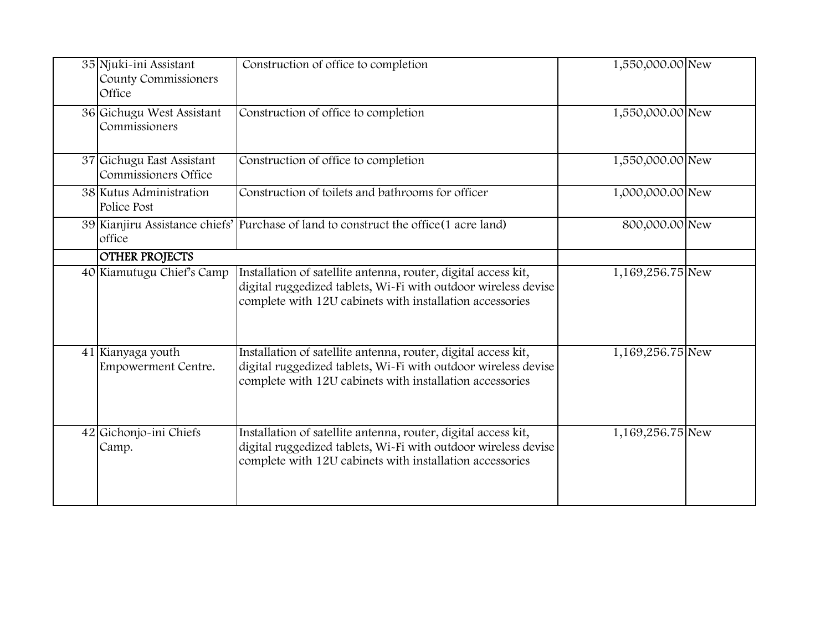| 35 Njuki-ini Assistant<br>County Commissioners<br>Office | Construction of office to completion                                                                                                                                                         | 1,550,000.00 New |  |
|----------------------------------------------------------|----------------------------------------------------------------------------------------------------------------------------------------------------------------------------------------------|------------------|--|
| 36 Gichugu West Assistant<br>Commissioners               | Construction of office to completion                                                                                                                                                         | 1,550,000.00 New |  |
| 37 Gichugu East Assistant<br>Commissioners Office        | Construction of office to completion                                                                                                                                                         | 1,550,000.00 New |  |
| 38 Kutus Administration<br>Police Post                   | Construction of toilets and bathrooms for officer                                                                                                                                            | 1,000,000.00 New |  |
| office                                                   | 39 Kianjiru Assistance chiefs' Purchase of land to construct the office (1 acre land)                                                                                                        | 800,000.00 New   |  |
| <b>OTHER PROJECTS</b>                                    |                                                                                                                                                                                              |                  |  |
| 40 Kiamutugu Chief's Camp                                | Installation of satellite antenna, router, digital access kit,<br>digital ruggedized tablets, Wi-Fi with outdoor wireless devise<br>complete with 12U cabinets with installation accessories | 1,169,256.75 New |  |
| 41 Kianyaga youth<br>Empowerment Centre.                 | Installation of satellite antenna, router, digital access kit,<br>digital ruggedized tablets, Wi-Fi with outdoor wireless devise<br>complete with 12U cabinets with installation accessories | 1,169,256.75 New |  |
| 42 Gichonjo-ini Chiefs<br>Camp.                          | Installation of satellite antenna, router, digital access kit,<br>digital ruggedized tablets, Wi-Fi with outdoor wireless devise<br>complete with 12U cabinets with installation accessories | 1,169,256.75 New |  |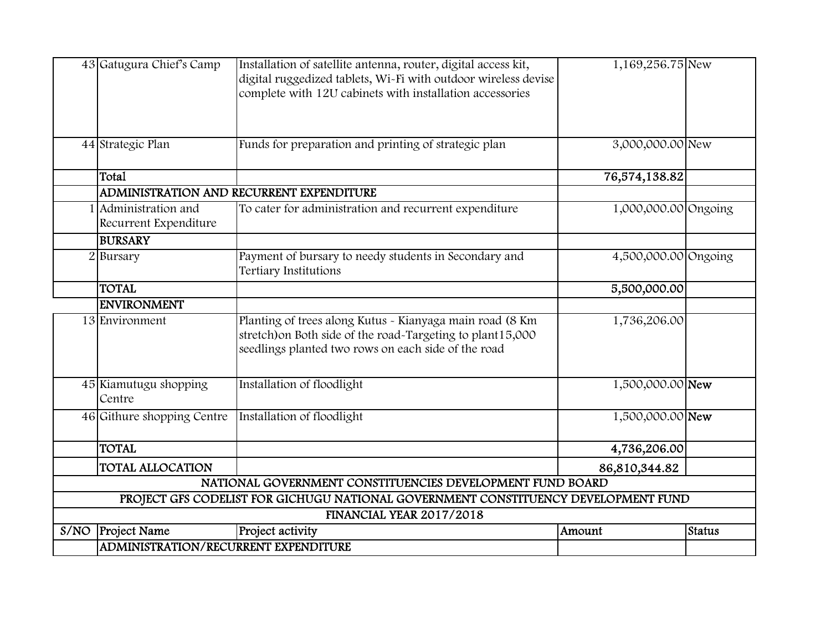|      | 43 Gatugura Chief's Camp                      | Installation of satellite antenna, router, digital access kit,<br>digital ruggedized tablets, Wi-Fi with outdoor wireless devise<br>complete with 12U cabinets with installation accessories | 1,169,256.75 New     |        |  |  |
|------|-----------------------------------------------|----------------------------------------------------------------------------------------------------------------------------------------------------------------------------------------------|----------------------|--------|--|--|
|      | 44 Strategic Plan                             | Funds for preparation and printing of strategic plan                                                                                                                                         | 3,000,000.00 New     |        |  |  |
|      | Total                                         |                                                                                                                                                                                              | 76,574,138.82        |        |  |  |
|      |                                               | ADMINISTRATION AND RECURRENT EXPENDITURE                                                                                                                                                     |                      |        |  |  |
|      | 1 Administration and<br>Recurrent Expenditure | To cater for administration and recurrent expenditure                                                                                                                                        | 1,000,000.00 Ongoing |        |  |  |
|      | <b>BURSARY</b>                                |                                                                                                                                                                                              |                      |        |  |  |
|      | $2$ Bursary                                   | Payment of bursary to needy students in Secondary and<br>Tertiary Institutions                                                                                                               | 4,500,000.00 Ongoing |        |  |  |
|      | <b>TOTAL</b>                                  |                                                                                                                                                                                              | 5,500,000.00         |        |  |  |
|      | <b>ENVIRONMENT</b>                            |                                                                                                                                                                                              |                      |        |  |  |
|      | 13 Environment                                | Planting of trees along Kutus - Kianyaga main road (8 Km<br>stretch) on Both side of the road-Targeting to plant15,000<br>seedlings planted two rows on each side of the road                | 1,736,206.00         |        |  |  |
|      | 45 Kiamutugu shopping<br>Centre               | Installation of floodlight                                                                                                                                                                   | 1,500,000.00 New     |        |  |  |
|      | 46 Githure shopping Centre                    | Installation of floodlight                                                                                                                                                                   | 1,500,000.00 New     |        |  |  |
|      | <b>TOTAL</b>                                  |                                                                                                                                                                                              | 4,736,206.00         |        |  |  |
|      | <b>TOTAL ALLOCATION</b>                       |                                                                                                                                                                                              | 86,810,344.82        |        |  |  |
|      |                                               | NATIONAL GOVERNMENT CONSTITUENCIES DEVELOPMENT FUND BOARD                                                                                                                                    |                      |        |  |  |
|      |                                               | PROJECT GFS CODELIST FOR GICHUGU NATIONAL GOVERNMENT CONSTITUENCY DEVELOPMENT FUND                                                                                                           |                      |        |  |  |
|      | FINANCIAL YEAR 2017/2018                      |                                                                                                                                                                                              |                      |        |  |  |
| S/NO | <b>Project Name</b>                           | Project activity                                                                                                                                                                             | Amount               | Status |  |  |
|      | ADMINISTRATION/RECURRENT EXPENDITURE          |                                                                                                                                                                                              |                      |        |  |  |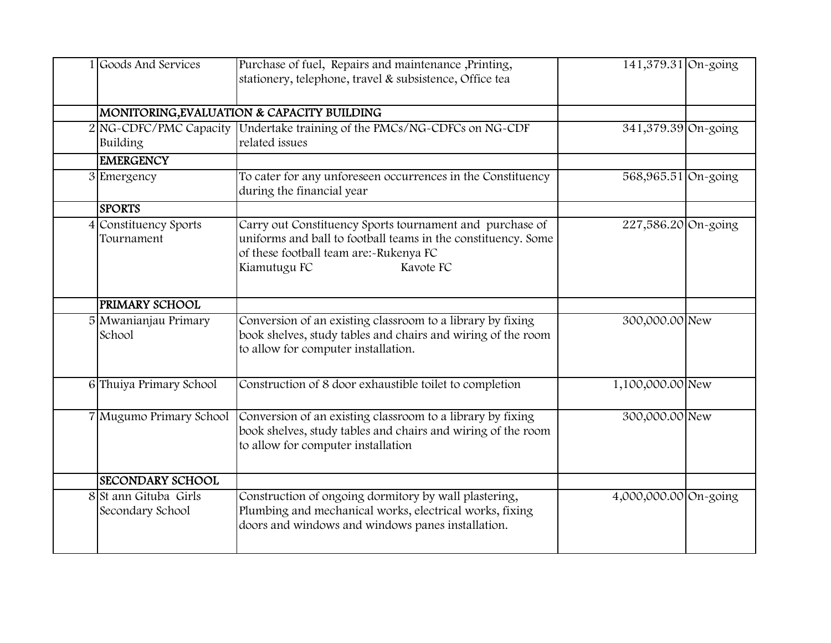| 1 Goods And Services                      | Purchase of fuel, Repairs and maintenance ,Printing,<br>stationery, telephone, travel & subsistence, Office tea                                                                                  | 141,379.31 On-going   |  |
|-------------------------------------------|--------------------------------------------------------------------------------------------------------------------------------------------------------------------------------------------------|-----------------------|--|
|                                           | MONITORING, EVALUATION & CAPACITY BUILDING                                                                                                                                                       |                       |  |
| Building                                  | 2 NG-CDFC/PMC Capacity Undertake training of the PMCs/NG-CDFCs on NG-CDF<br>related issues                                                                                                       | 341,379.39 On-going   |  |
| <b>EMERGENCY</b>                          |                                                                                                                                                                                                  |                       |  |
| 3 Emergency                               | To cater for any unforeseen occurrences in the Constituency<br>during the financial year                                                                                                         | 568,965.51 On-going   |  |
| <b>SPORTS</b>                             |                                                                                                                                                                                                  |                       |  |
| 4 Constituency Sports<br>Tournament       | Carry out Constituency Sports tournament and purchase of<br>uniforms and ball to football teams in the constituency. Some<br>of these football team are:-Rukenya FC<br>Kiamutugu FC<br>Kavote FC | 227,586.20 On-going   |  |
| PRIMARY SCHOOL                            |                                                                                                                                                                                                  |                       |  |
| 5 Mwanianjau Primary<br>School            | Conversion of an existing classroom to a library by fixing<br>book shelves, study tables and chairs and wiring of the room<br>to allow for computer installation.                                | 300,000.00 New        |  |
| 6 Thuiya Primary School                   | Construction of 8 door exhaustible toilet to completion                                                                                                                                          | 1,100,000.00 New      |  |
| 7 Mugumo Primary School                   | Conversion of an existing classroom to a library by fixing<br>book shelves, study tables and chairs and wiring of the room<br>to allow for computer installation                                 | 300,000.00 New        |  |
| <b>SECONDARY SCHOOL</b>                   |                                                                                                                                                                                                  |                       |  |
| 8 St ann Gituba Girls<br>Secondary School | Construction of ongoing dormitory by wall plastering,<br>Plumbing and mechanical works, electrical works, fixing<br>doors and windows and windows panes installation.                            | 4,000,000.00 On-going |  |